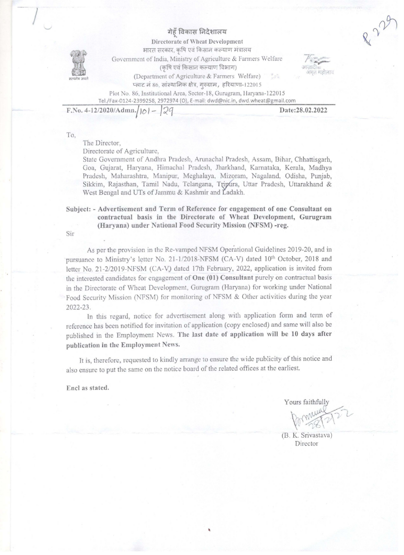## गेहँ विकास निदेशालय



 $\int$ 

Directorate of Wheat Development भारत सरकार, कृषि एवं किसान कल्याण मंत्रालय Government of India, Ministry of Agriculture & Farmers Welfare (कृषि एवं किसान कल्याण विभाग)

(Department of Agriculture & Farmers Welfare) प्लाट नं 86, सांस्थानिक क्षेत्र, गुरुग्राम, हरियाणा-122015



Plot No. 86, Institutional Area, Sector-18, Gurugram, Haryana-122015 Tei./Fax-0124-2399258, 2972974 (0), e-mail: dwd@nic.in, dwd.wheat@gmail.com

F.No. 4-12/2020/Admn./ $|\circ\rangle$  –

Date:28.02.2022

To,

## The Director,

Directorate of Agriculture,

State Govemmcnt of Andhra Pradesh, Arunachal Pradesh, Assam, Bihar, Chhattisgarh, Goa, Gujarat, Haryana, Himachal Pradesh, Jharkhand, Karnataka, Kerala, Madhya Pradesh, Maharashtra, Manipur, Meghalaya, Mizoram, Nagaland, Odisha, Punjab, Sikkim, Rajasthan, Tamil Nadu, Telangana, Tripura, Uttar Pradesh, Uttarakhand & West Bengal and UTs of Jammu & Kashmir and Ladakh.

Subject: - Advertisement and Term of Reference for engagement of one Consultant on contractual basis in the Directorate of Wheat Development, Gurugram (Haryana) under National Food Security Mission (NFSM) -reg.

Sir

As per the provision in the Re-vamped NFSM Operational Guidelines 2019-20, and in pursuance to Ministry's letter No.  $21-1/2018\text{-NFSM}$  (CA-V) dated  $10^{\text{th}}$  October, 2018 and letter No. 21-2/2019-NFSM (CA-V) dated 17th February, 2022, application is invited from the interested candidates for engagement of One (01) Consultant purely on contractual basis in the Directorate of Wheat Development, Gurugram (Haryana) for working under National Food Security Mission (NFSM) for monitoring of NFSM & Other activities during the year 2022-23.

In this regard, notice for advertisement along with application form and term of reference bas been notified for invitation of application (copy enclosed) and same will also be pub1ished in the Employment News. The last date of application will be 10 days after publication in the Employment News.

It is, therefore, requested to kindly arrange to ensure the wide publicity of this notice and also ensure to put the same on the notice board of the related offices at the earliest.

'

Encl as stated.

Yours faithfully

(B. K. Srivastava) Director